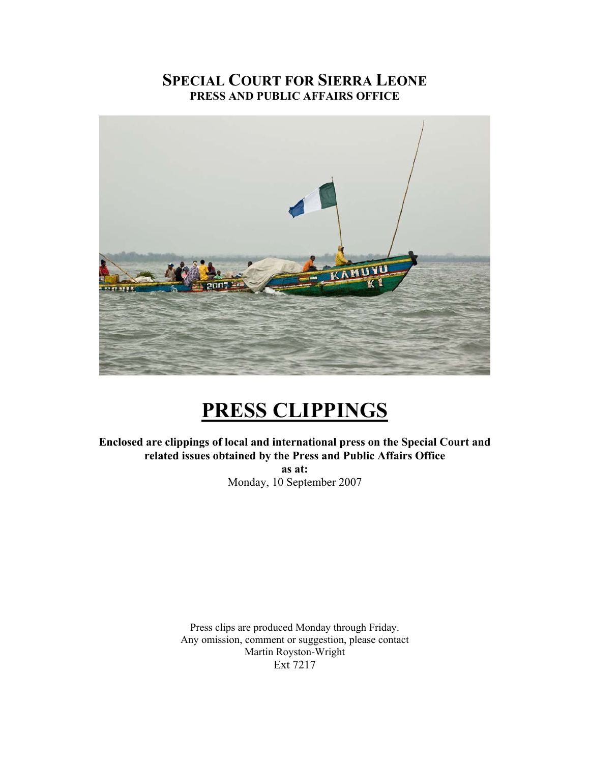# **SPECIAL COURT FOR SIERRA LEONE PRESS AND PUBLIC AFFAIRS OFFICE**



# **PRESS CLIPPINGS**

**Enclosed are clippings of local and international press on the Special Court and related issues obtained by the Press and Public Affairs Office as at:** 

Monday, 10 September 2007

Press clips are produced Monday through Friday. Any omission, comment or suggestion, please contact Martin Royston-Wright Ext 7217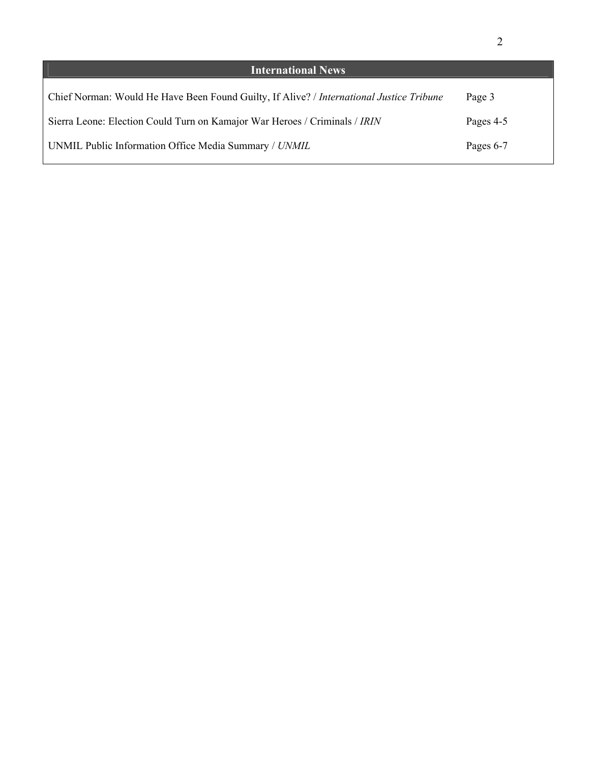| <b>International News</b>                                                                |           |
|------------------------------------------------------------------------------------------|-----------|
| Chief Norman: Would He Have Been Found Guilty, If Alive? / International Justice Tribune | Page 3    |
| Sierra Leone: Election Could Turn on Kamajor War Heroes / Criminals / IRIN               | Pages 4-5 |
| UNMIL Public Information Office Media Summary / UNMIL                                    | Pages 6-7 |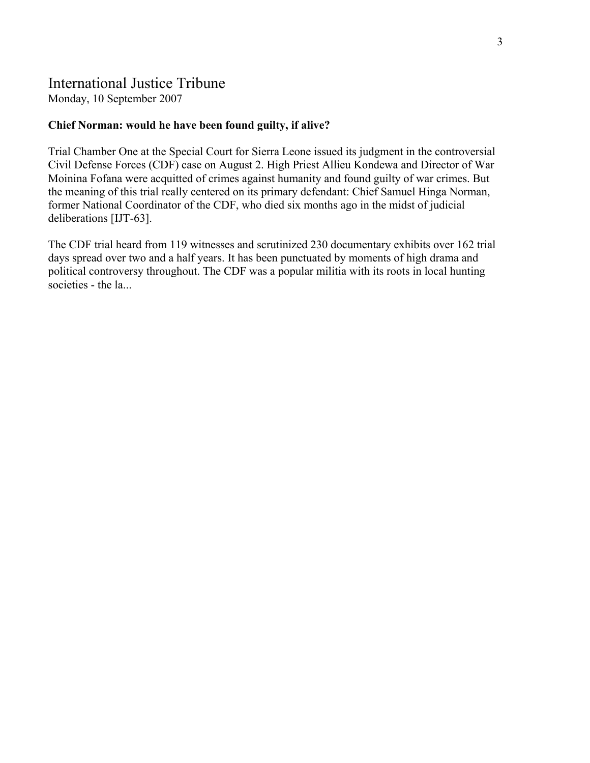# International Justice Tribune

Monday, 10 September 2007

## **Chief Norman: would he have been found guilty, if alive?**

Trial Chamber One at the Special Court for Sierra Leone issued its judgment in the controversial Civil Defense Forces (CDF) case on August 2. High Priest Allieu Kondewa and Director of War Moinina Fofana were acquitted of crimes against humanity and found guilty of war crimes. But the meaning of this trial really centered on its primary defendant: Chief Samuel Hinga Norman, former National Coordinator of the CDF, who died six months ago in the midst of judicial deliberations [IJT-63].

The CDF trial heard from 119 witnesses and scrutinized 230 documentary exhibits over 162 trial days spread over two and a half years. It has been punctuated by moments of high drama and political controversy throughout. The CDF was a popular militia with its roots in local hunting societies - the la...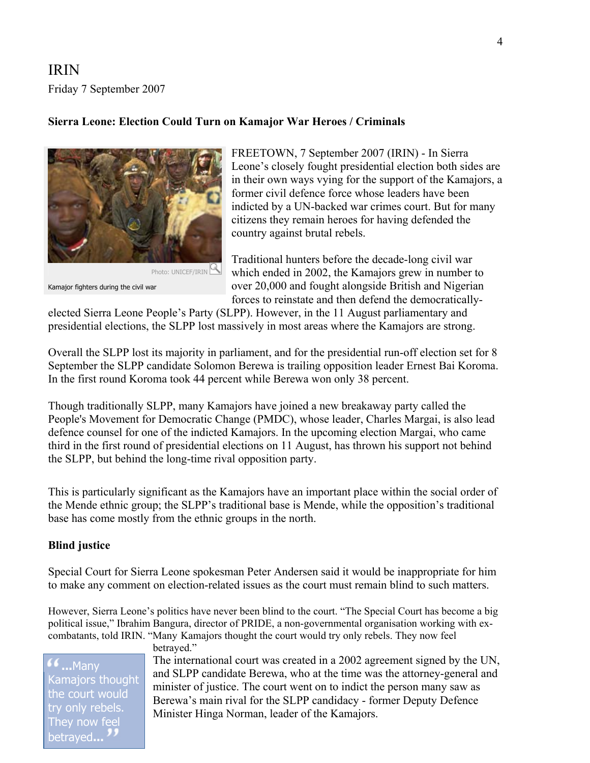IRIN Friday 7 September 2007

### **Sierra Leone: Election Could Turn on Kamajor War Heroes / Criminals**



Kamajor fighters during the civil war

FREETOWN, 7 September 2007 (IRIN) - In Sierra Leone's closely fought presidential election both sides are in their own ways vying for the support of the Kamajors, a former civil defence force whose leaders have been indicted by a UN-backed war crimes court. But for many citizens they remain heroes for having defended the country against brutal rebels.

Traditional hunters before the decade-long civil war which ended in 2002, the Kamajors grew in number to over 20,000 and fought alongside British and Nigerian forces to reinstate and then defend the democratically-

elected Sierra Leone People's Party (SLPP). However, in the 11 August parliamentary and presidential elections, the SLPP lost massively in most areas where the Kamajors are strong.

Overall the SLPP lost its majority in parliament, and for the presidential run-off election set for 8 September the SLPP candidate Solomon Berewa is trailing opposition leader Ernest Bai Koroma. In the first round Koroma took 44 percent while Berewa won only 38 percent.

Though traditionally SLPP, many Kamajors have joined a new breakaway party called the People's Movement for Democratic Change (PMDC), whose leader, Charles Margai, is also lead defence counsel for one of the indicted Kamajors. In the upcoming election Margai, who came third in the first round of presidential elections on 11 August, has thrown his support not behind the SLPP, but behind the long-time rival opposition party.

This is particularly significant as the Kamajors have an important place within the social order of the Mende ethnic group; the SLPP's traditional base is Mende, while the opposition's traditional base has come mostly from the ethnic groups in the north.

### **Blind justice**

Special Court for Sierra Leone spokesman Peter Andersen said it would be inappropriate for him to make any comment on election-related issues as the court must remain blind to such matters.

However, Sierra Leone's politics have never been blind to the court. "The Special Court has become a big political issue," Ibrahim Bangura, director of PRIDE, a non-governmental organisation working with excombatants, told IRIN. "Many Kamajors thought the court would try only rebels. They now feel

**...**Many Kamajors thought the court would try only rebels. They now feel betrayed**...**

betrayed."

The international court was created in a 2002 agreement signed by the UN, and SLPP candidate Berewa, who at the time was the attorney-general and minister of justice. The court went on to indict the person many saw as Berewa's main rival for the SLPP candidacy - former Deputy Defence Minister Hinga Norman, leader of the Kamajors.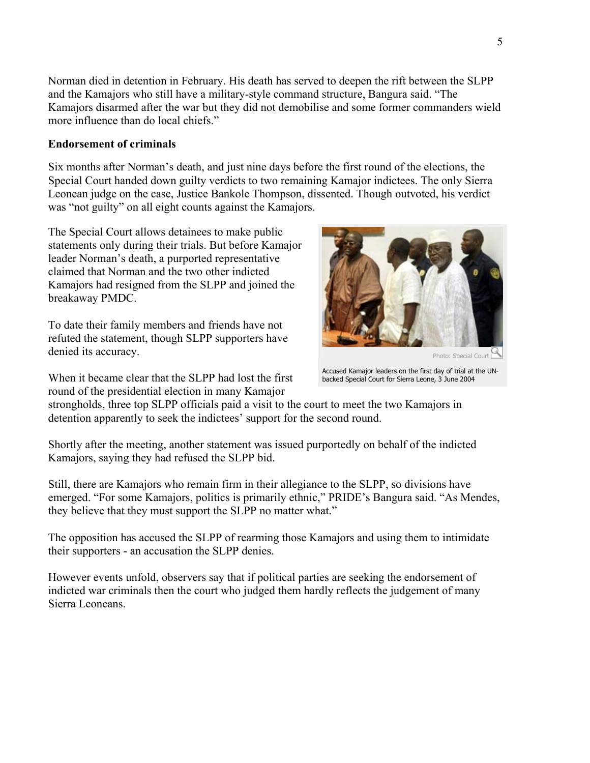Norman died in detent ion in February. His death has served to deepen the rift between the SLPP and the Kamajors who still have a military-style command structure, Bangura said. "The Kamajors disarmed after the war but they did not demobilise and some former commanders wield more influence than do local chiefs."

### **Endorsement of criminals**

Six months after Norman's death, and just nine days before the first round of the elections, the Special Court handed down guilty verdicts to two remaining Kamajor indictees. The only Sierra Leonean judge on the case, Justice Bankole Thompson, dissented. Though outvoted, his verdict was "not guilty" on all eight counts against the Kamajors.

The Special Court allows detainees to make public statements only during their trials. But before Kamajor leader Norman's death, a purported representative claimed that Norman and the two other indicted Kamajors had resigned from the SLPP and joined the breakaway PMDC.

To date their family members and friends have not refuted the statement, though SLPP supporters have denied its accuracy.

round of the presidential election in many Kamajor When it became clear that the SLPP had lost the first



Photo: Special Court

Accused Kamajor leaders on the first day of trial at the UNbacked Special Court for Sierra Leone, 3 June 2004

strongholds, three top SLPP officials paid a visit to the court to meet the two Kamajors in detention apparently to seek the indictees' support for the second round.

Shortly after the meeting, another statement was issued purportedly on behalf of the indicted Kamajors, saying they had refused the SLPP bid.

Still, there are Kamajors who remain firm in their allegiance to the SLPP, so divisions have emerged. "For some Kamajors, politics is primarily ethnic," PRIDE's Bangura said. "As Mendes, they believe that they must support the SLPP no matter what."

The opposition has accused the SLPP of rearming those Kamajors and using them to intimidate their supporters - an accusation the SLPP denies.

However events unfold, observers say that if political parties are seeking the endorsement of indicted war criminals then the court who judged them hardly reflects the judgement of many Sierra Leoneans.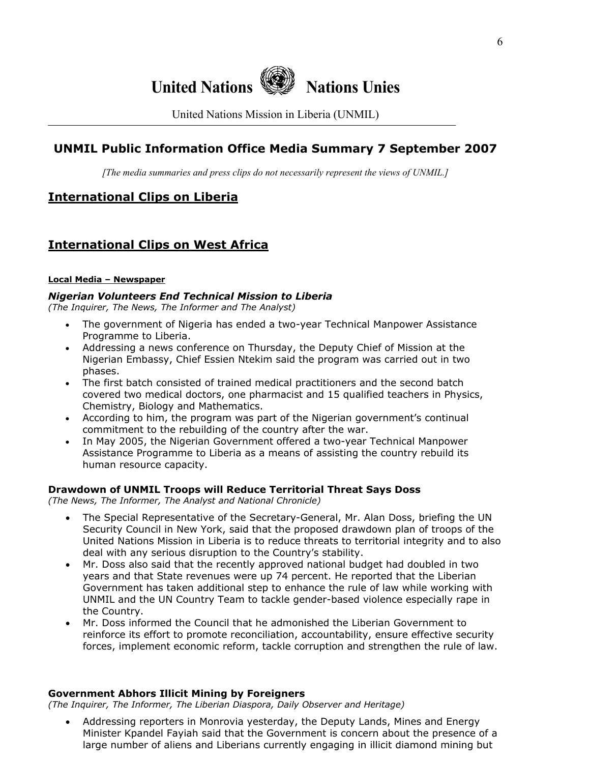

United Nations Mission in Liberia (UNMIL)

# **UNMIL Public Information Office Media Summary 7 September 2007**

*[The media summaries and press clips do not necessarily represent the views of UNMIL.]*

# **International Clips on Liberia**

# **International Clips on West Africa**

#### **Local Media – Newspaper**

### *Nigerian Volunteers End Technical Mission to Liberia*

*(The Inquirer, The News, The Informer and The Analyst)* 

- The government of Nigeria has ended a two-year Technical Manpower Assistance Programme to Liberia.
- Addressing a news conference on Thursday, the Deputy Chief of Mission at the Nigerian Embassy, Chief Essien Ntekim said the program was carried out in two phases.
- The first batch consisted of trained medical practitioners and the second batch covered two medical doctors, one pharmacist and 15 qualified teachers in Physics, Chemistry, Biology and Mathematics.
- According to him, the program was part of the Nigerian government's continual commitment to the rebuilding of the country after the war.
- In May 2005, the Nigerian Government offered a two-year Technical Manpower Assistance Programme to Liberia as a means of assisting the country rebuild its human resource capacity.

### **Drawdown of UNMIL Troops will Reduce Territorial Threat Says Doss**

*(The News, The Informer, The Analyst and National Chronicle)* 

- The Special Representative of the Secretary-General, Mr. Alan Doss, briefing the UN Security Council in New York, said that the proposed drawdown plan of troops of the United Nations Mission in Liberia is to reduce threats to territorial integrity and to also deal with any serious disruption to the Country's stability.
- Mr. Doss also said that the recently approved national budget had doubled in two years and that State revenues were up 74 percent. He reported that the Liberian Government has taken additional step to enhance the rule of law while working with UNMIL and the UN Country Team to tackle gender-based violence especially rape in the Country.
- Mr. Doss informed the Council that he admonished the Liberian Government to reinforce its effort to promote reconciliation, accountability, ensure effective security forces, implement economic reform, tackle corruption and strengthen the rule of law.

### **Government Abhors Illicit Mining by Foreigners**

*(The Inquirer, The Informer, The Liberian Diaspora, Daily Observer and Heritage)* 

• Addressing reporters in Monrovia yesterday, the Deputy Lands, Mines and Energy Minister Kpandel Fayiah said that the Government is concern about the presence of a large number of aliens and Liberians currently engaging in illicit diamond mining but